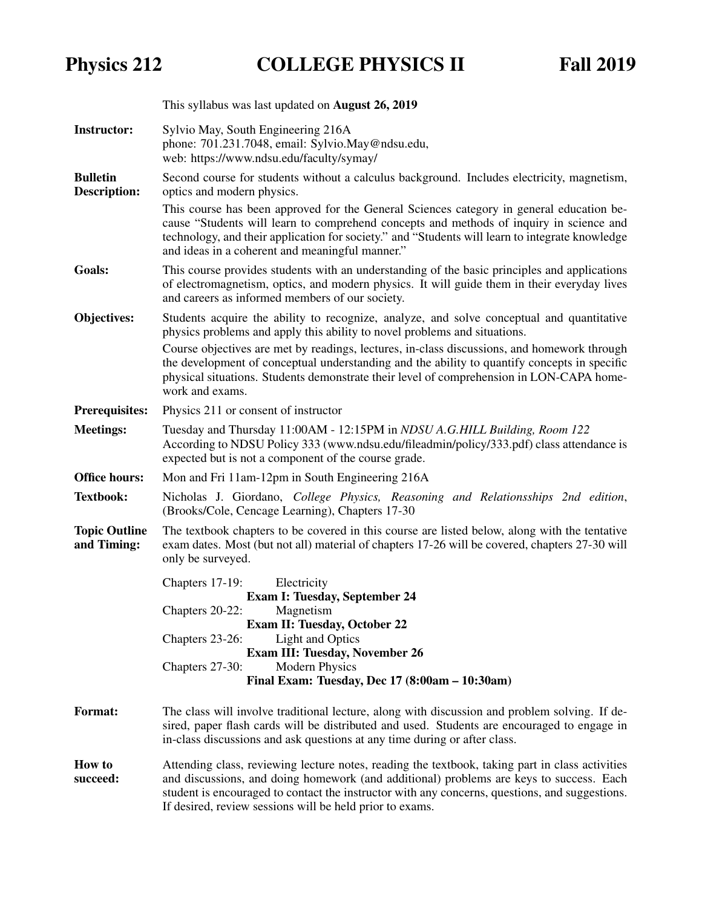## Physics 212 COLLEGE PHYSICS II Fall 2019

|                                        | This syllabus was last updated on <b>August 26, 2019</b>                                                                                                                                                                                                                                                                                                                                                                                                                             |  |  |  |
|----------------------------------------|--------------------------------------------------------------------------------------------------------------------------------------------------------------------------------------------------------------------------------------------------------------------------------------------------------------------------------------------------------------------------------------------------------------------------------------------------------------------------------------|--|--|--|
| <b>Instructor:</b>                     | Sylvio May, South Engineering 216A<br>phone: 701.231.7048, email: Sylvio.May@ndsu.edu,<br>web: https://www.ndsu.edu/faculty/symay/                                                                                                                                                                                                                                                                                                                                                   |  |  |  |
| <b>Bulletin</b><br><b>Description:</b> | Second course for students without a calculus background. Includes electricity, magnetism,<br>optics and modern physics.<br>This course has been approved for the General Sciences category in general education be-<br>cause "Students will learn to comprehend concepts and methods of inquiry in science and<br>technology, and their application for society." and "Students will learn to integrate knowledge<br>and ideas in a coherent and meaningful manner."                |  |  |  |
| Goals:                                 | This course provides students with an understanding of the basic principles and applications<br>of electromagnetism, optics, and modern physics. It will guide them in their everyday lives<br>and careers as informed members of our society.                                                                                                                                                                                                                                       |  |  |  |
| Objectives:                            | Students acquire the ability to recognize, analyze, and solve conceptual and quantitative<br>physics problems and apply this ability to novel problems and situations.<br>Course objectives are met by readings, lectures, in-class discussions, and homework through<br>the development of conceptual understanding and the ability to quantify concepts in specific<br>physical situations. Students demonstrate their level of comprehension in LON-CAPA home-<br>work and exams. |  |  |  |
| <b>Prerequisites:</b>                  | Physics 211 or consent of instructor                                                                                                                                                                                                                                                                                                                                                                                                                                                 |  |  |  |
| <b>Meetings:</b>                       | Tuesday and Thursday 11:00AM - 12:15PM in NDSU A.G. HILL Building, Room 122<br>According to NDSU Policy 333 (www.ndsu.edu/fileadmin/policy/333.pdf) class attendance is<br>expected but is not a component of the course grade.                                                                                                                                                                                                                                                      |  |  |  |
| <b>Office hours:</b>                   | Mon and Fri 11am-12pm in South Engineering 216A                                                                                                                                                                                                                                                                                                                                                                                                                                      |  |  |  |
| <b>Textbook:</b>                       | Nicholas J. Giordano, College Physics, Reasoning and Relationsships 2nd edition,<br>(Brooks/Cole, Cencage Learning), Chapters 17-30                                                                                                                                                                                                                                                                                                                                                  |  |  |  |
| <b>Topic Outline</b><br>and Timing:    | The textbook chapters to be covered in this course are listed below, along with the tentative<br>exam dates. Most (but not all) material of chapters 17-26 will be covered, chapters 27-30 will<br>only be surveyed.                                                                                                                                                                                                                                                                 |  |  |  |
|                                        | Electricity<br>Chapters 17-19:<br><b>Exam I: Tuesday, September 24</b><br>Chapters 20-22:<br>Magnetism<br><b>Exam II: Tuesday, October 22</b><br><b>Light and Optics</b><br>Chapters 23-26:<br><b>Exam III: Tuesday, November 26</b><br><b>Modern Physics</b><br>Chapters 27-30:<br>Final Exam: Tuesday, Dec 17 (8:00am - 10:30am)                                                                                                                                                   |  |  |  |
| <b>Format:</b>                         | The class will involve traditional lecture, along with discussion and problem solving. If de-<br>sired, paper flash cards will be distributed and used. Students are encouraged to engage in<br>in-class discussions and ask questions at any time during or after class.                                                                                                                                                                                                            |  |  |  |
| <b>How to</b><br>succeed:              | Attending class, reviewing lecture notes, reading the textbook, taking part in class activities<br>and discussions, and doing homework (and additional) problems are keys to success. Each<br>student is encouraged to contact the instructor with any concerns, questions, and suggestions.                                                                                                                                                                                         |  |  |  |

If desired, review sessions will be held prior to exams.